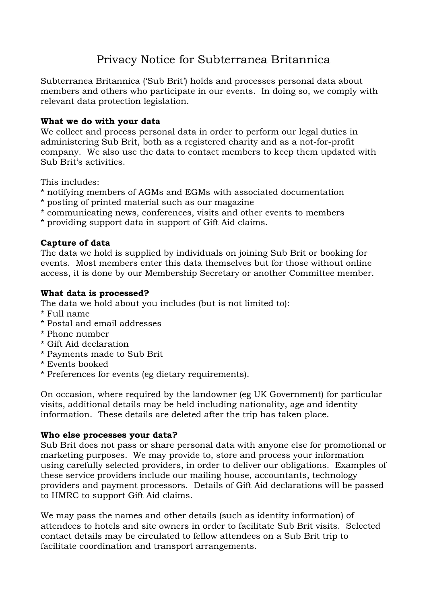# Privacy Notice for Subterranea Britannica

Subterranea Britannica ('Sub Brit') holds and processes personal data about members and others who participate in our events. In doing so, we comply with relevant data protection legislation.

#### **What we do with your data**

We collect and process personal data in order to perform our legal duties in administering Sub Brit, both as a registered charity and as a not-for-profit company. We also use the data to contact members to keep them updated with Sub Brit's activities.

This includes:

- \* notifying members of AGMs and EGMs with associated documentation
- \* posting of printed material such as our magazine
- \* communicating news, conferences, visits and other events to members
- \* providing support data in support of Gift Aid claims.

## **Capture of data**

The data we hold is supplied by individuals on joining Sub Brit or booking for events. Most members enter this data themselves but for those without online access, it is done by our Membership Secretary or another Committee member.

## **What data is processed?**

The data we hold about you includes (but is not limited to):

- \* Full name
- \* Postal and email addresses
- \* Phone number
- \* Gift Aid declaration
- \* Payments made to Sub Brit
- \* Events booked
- \* Preferences for events (eg dietary requirements).

On occasion, where required by the landowner (eg UK Government) for particular visits, additional details may be held including nationality, age and identity information. These details are deleted after the trip has taken place.

#### **Who else processes your data?**

Sub Brit does not pass or share personal data with anyone else for promotional or marketing purposes. We may provide to, store and process your information using carefully selected providers, in order to deliver our obligations. Examples of these service providers include our mailing house, accountants, technology providers and payment processors. Details of Gift Aid declarations will be passed to HMRC to support Gift Aid claims.

We may pass the names and other details (such as identity information) of attendees to hotels and site owners in order to facilitate Sub Brit visits. Selected contact details may be circulated to fellow attendees on a Sub Brit trip to facilitate coordination and transport arrangements.